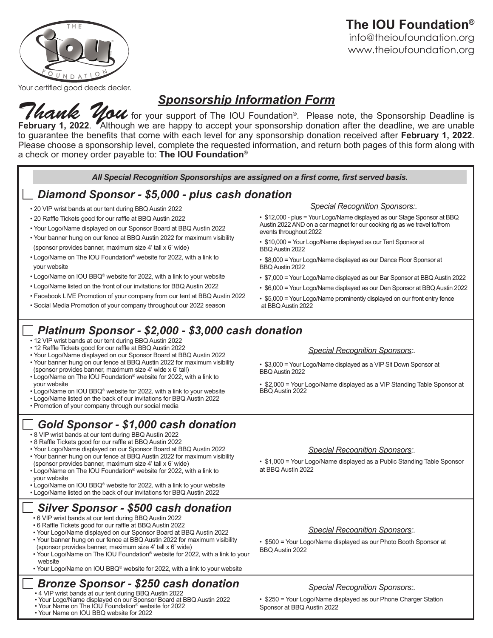### **The IOU Foundation®** info@theioufoundation.org www.theioufoundation.org



Your certified good deeds dealer.

## *Sponsorship Information Form*

*Thank* You for your support of The IOU Foundation®. Please note, the Sponsorship Deadline is February 1, 2022. Although we are happy to accept your sponsorship donation after the deadline, we are unable to guarantee the benefits that come with each level for any sponsorship donation received after **February 1, 2022**. Please choose a sponsorship level, complete the requested information, and return both pages of this form along with a check or money order payable to: **The IOU Foundation**®

*All Special Recognition Sponsorships are assigned on a first come, first served basis.*

## *Diamond Sponsor - \$5,000 - plus cash donation*

- 20 VIP wrist bands at our tent during BBQ Austin 2022
- 20 Raffle Tickets good for our raffle at BBQ Austin 2022
- Your Logo/Name displayed on our Sponsor Board at BBQ Austin 2022
- Your banner hung on our fence at BBQ Austin 2022 for maximum visibility (sponsor provides banner, maximum size 4' tall x 6' wide)
- Logo/Name on The IOU Foundation® website for 2022, with a link to your website
- Logo/Name on IOU BBQ® website for 2022, with a link to your website
- Logo/Name listed on the front of our invitations for BBQ Austin 2022
- Facebook LIVE Promotion of your company from our tent at BBQ Austin 2022
- Social Media Promotion of your company throughout our 2022 season

### *Platinum Sponsor - \$2,000 - \$3,000 cash donation*

- 12 VIP wrist bands at our tent during BBQ Austin 2022
- 12 Raffle Tickets good for our raffle at BBQ Austin 2022
- Your Logo/Name displayed on our Sponsor Board at BBQ Austin 2022 • Your banner hung on our fence at BBQ Austin 2022 for maximum visibility
- (sponsor provides banner, maximum size 4' wide x 6' tall) • Logo/Name on The IOU Foundation® website for 2022, with a link to
- your website
- Logo/Name on IOU BBQ® website for 2022, with a link to your website
- Logo/Name listed on the back of our invitations for BBQ Austin 2022
- Promotion of your company through our social media

## *Gold Sponsor - \$1,000 cash donation*

- 8 VIP wrist bands at our tent during BBQ Austin 2022
- 8 Raffle Tickets good for our raffle at BBQ Austin 2022
- Your Logo/Name displayed on our Sponsor Board at BBQ Austin 2022 • Your banner hung on our fence at BBQ Austin 2022 for maximum visibility (sponsor provides banner, maximum size 4' tall x 6' wide)
- Logo/Name on The IOU Foundation® website for 2022, with a link to your website
- Logo/Name on IOU BBQ® website for 2022, with a link to your website
- Logo/Name listed on the back of our invitations for BBQ Austin 2022

### *Silver Sponsor - \$500 cash donation*

- 6 VIP wrist bands at our tent during BBQ Austin 2022
- 6 Raffle Tickets good for our raffle at BBQ Austin 2022
- Your Logo/Name displayed on our Sponsor Board at BBQ Austin 2022 • Your banner hung on our fence at BBQ Austin 2022 for maximum visibility
- (sponsor provides banner, maximum size 4' tall x 6' wide) • Your Logo/Name on The IOU Foundation® website for 2022, with a link to your website
- Your Logo/Name on IOU BBQ® website for 2022, with a link to your website

## *Bronze Sponsor - \$250 cash donation*

- 4 VIP wrist bands at our tent during BBQ Austin 2022
- Your Logo/Name displayed on our Sponsor Board at BBQ Austin 2022
- Your Name on The IOU Foundation® website for 2022
- Your Name on IOU BBQ website for 2022

#### *Special Recognition Sponsors:.*

- \$12,000 plus = Your Logo/Name displayed as our Stage Sponsor at BBQ Austin 2022 AND on a car magnet for our cooking rig as we travel to/from events throughout 2022
- \$10,000 = Your Logo/Name displayed as our Tent Sponsor at BBQ Austin 2022
- \$8,000 = Your Logo/Name displayed as our Dance Floor Sponsor at BBQ Austin 2022
- \$7,000 = Your Logo/Name displayed as our Bar Sponsor at BBQ Austin 2022
- \$6,000 = Your Logo/Name displayed as our Den Sponsor at BBQ Austin 2022
- \$5,000 = Your Logo/Name prominently displayed on our front entry fence at BBQ Austin 2022

#### *Special Recognition Sponsors:.*

• \$3,000 = Your Logo/Name displayed as a VIP Sit Down Sponsor at BBQ Austin 2022

• \$2,000 = Your Logo/Name displayed as a VIP Standing Table Sponsor at BBQ Austin 2022

#### *Special Recognition Sponsors:.*

• \$1,000 = Your Logo/Name displayed as a Public Standing Table Sponsor at BBQ Austin 2022

#### *Special Recognition Sponsors:.*

• \$500 = Your Logo/Name displayed as our Photo Booth Sponsor at BBQ Austin 2022

#### *Special Recognition Sponsors:.*

• \$250 = Your Logo/Name displayed as our Phone Charger Station Sponsor at BBQ Austin 2022